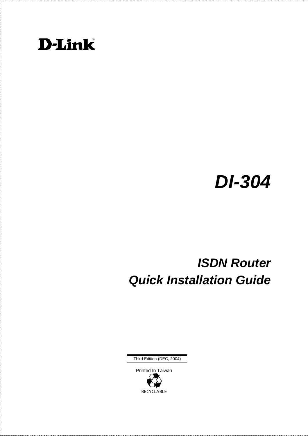

# *DI-304*

# *ISDN Router Quick Installation Guide*

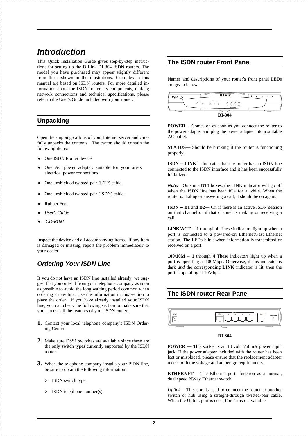### *Introduction*

This Quick Installation Guide gives step-by-step instructions for setting up the D-Link DI-304 ISDN routers. The model you have purchased may appear slightly different from those shown in the illustrations. Examples in this manual are based on ISDN routers. For more detailed information about the ISDN router, its components, making network connections and technical specifications, please refer to the User's Guide included with your router.

#### **Unpacking**

Open the shipping cartons of your Internet server and carefully unpacks the contents. The carton should contain the following items:

- ♦ One ISDN Router device
- One AC power adapter, suitable for your areas electrical power connections
- ♦ One unshielded twisted-pair (UTP) cable.
- One unshielded twisted-pair (ISDN) cable.
- **Rubber Feet**
- ♦ *User's Guide*
- ♦ *CD-ROM*

Inspect the device and all accompanying items. If any item is damaged or missing, report the problem immediately to your dealer.

#### *Ordering Your ISDN Line*

If you do not have an ISDN line installed already, we suggest that you order it from your telephone company as soon as possible to avoid the long waiting period common when ordering a new line. Use the information in this section to place the order. If you have already installed your ISDN line, you can check the following section to make sure that you can use all the features of your ISDN router.

- **1.** Contact your local telephone company's ISDN Ordering Center.
- **2.** Make sure DSS1 switches are available since these are the only switch types currently supported by the ISDN router.
- **3.** When the telephone company installs your ISDN line, be sure to obtain the following information:
	- ◊ ISDN switch type.
	- ◊ ISDN telephone number(s).

#### **The ISDN router Front Panel**

Names and descriptions of your router's front panel LEDs are given below:

| DI-304           | <b>D-Link</b>                                                       | R<br>e |
|------------------|---------------------------------------------------------------------|--------|
| Power<br>$\circ$ | $- - 0180988$<br>$ 50$<br>Status.<br>$\circ$<br>္မွ<br>ဝူ<br>õ<br>O |        |
|                  | ー<br>DI-304                                                         |        |

**POWER**— Comes on as soon as you connect the router to the power adapter and plug the power adapter into a suitable AC outlet.

**STATUS**— Should be blinking if the router is functioning properly.

**ISDN – LINK**— Indicates that the router has an ISDN line connected to the ISDN interface and it has been successfully initialized.

*Note***:** On some NT1 boxes, the LINK indicator will go off when the ISDN line has been idle for a while. When the router is dialing or answering a call, it should be on again.

**ISDN – B1** and **B2**— On if there is an active ISDN session on that channel or if that channel is making or receiving a call.

**LINK/ACT**— **1** through **4**. These indicators light up when a port is connected to a powered-on Ethernet/Fast Ethernet station. The LEDs blink when information is transmitted or received on a port.

**100/10M – 1** through **4** These indicators light up when a port is operating at 100Mbps. Otherwise, if this indicator is dark *and* the corresponding **LINK** indicator is lit, then the port is operating at 10Mbps.

#### **The ISDN router Rear Panel**



#### **DI-304**

**POWER** — This socket is an 18 volt, 750mA power input jack. If the power adapter included with the router has been lost or misplaced, please ensure that the replacement adapter meets both the voltage and amperage requirements.

**ETHERNET** – The Ethernet ports function as a normal, dual speed NWay Ethernet switch.

*Uplink* – This port is used to connect the router to another switch or hub using a straight-through twisted-pair cable. When the Uplink port is used, Port 1x is unavailable.

*2*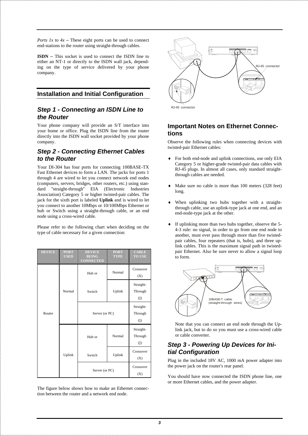*Ports 1x to 4x* – These eight ports can be used to connect end-stations to the router using straight-through cables.

**ISDN** – This socket is used to connect the ISDN line to either an NT-1 or directly to the ISDN wall jack, depending on the type of service delivered by your phone company.

#### **Installation and Initial Configuration**

#### *Step 1 - Connecting an ISDN Line to the Router*

Your phone company will provide an S/T interface into your home or office. Plug the ISDN line from the router directly into the ISDN wall socket provided by your phone company.

#### *Step 2 - Connecting Ethernet Cables to the Router*

Your DI-304 has four ports for connecting 100BASE-TX Fast Ethernet devices to form a LAN. The jacks for ports 1 through 4 are wired to let you connect network end nodes (computers, servers, bridges, other routers, etc.) using standard "straight-through" EIA (Electronic Industries Association) Category 5 or higher twisted-pair cables. The jack for the sixth port is labeled **Uplink** and is wired to let you connect to another 10Mbps or 10/100Mbps Ethernet or hub or Switch using a straight-through cable, or an end node using a cross-wired cable.

Please refer to the following chart when deciding on the type of cable necessary for a given connection:

| <b>DEVICE</b> | <b>PORT</b><br><b>USED</b> | <b>DEVICE</b><br><b>BEING</b><br><b>CONNECTED</b> | <b>PORT</b><br><b>TYPE</b> | <b>CABLE</b><br><b>TO USE</b>     |
|---------------|----------------------------|---------------------------------------------------|----------------------------|-----------------------------------|
|               | Normal                     | Hub or                                            | Normal                     | Crossover<br>(X)                  |
|               |                            | Switch                                            | Uplink                     | Straight-<br>Through<br>$($   $)$ |
| Router        |                            | Server (or PC)                                    |                            | Straight-<br>Through<br>(         |
|               | Uplink                     | Hub or                                            | Normal                     | Straight-<br>Through<br>$($   $)$ |
|               |                            | Switch                                            | Uplink                     | Crossover<br>(X)                  |
|               |                            | Server (or PC)                                    |                            | Crossover<br>(X)                  |

The figure below shows how to make an Ethernet connection between the router and a network end node.



RJ-45 connecto

#### **Important Notes on Ethernet Connections**

Observe the following rules when connecting devices with twisted-pair Ethernet cables:

- For both end-node and uplink connections, use only EIA Category 5 or higher-grade twisted-pair data cables with RJ-45 plugs. In almost all cases, only standard straightthrough cables are needed.
- Make sure no cable is more than 100 meters (328 feet) long.
- When uplinking two hubs together with a straightthrough cable, use an uplink-type jack at one end, and an end-node-type jack at the other.
- If uplinking more than two hubs together, observe the 5-4-3 rule: no signal, in order to go from one end node to another, must ever pass through more than five twistedpair cables, four repeaters (that is, hubs), and three uplink cables. This is the maximum signal path in twistedpair Ethernet. Also be sure never to allow a signal loop to form.



Note that you can connect an end node through the Uplink jack, but to do so you must use a cross-wired cable or cable converter.

#### *Step 3 - Powering Up Devices for Initial Configuration*

Plug in the included 18V AC, 1000 mA power adapter into the power jack on the router's rear panel.

You should have now connected the ISDN phone line, one or more Ethernet cables, and the power adapter.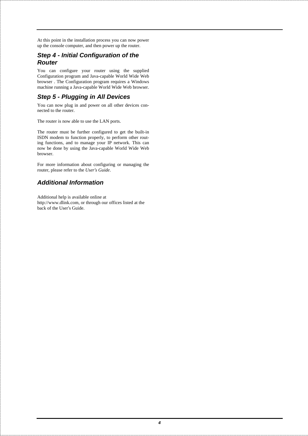At this point in the installation process you can now power up the console computer, and then power up the router.

#### *Step 4 - Initial Configuration of the Router*

You can configure your router using the supplied Configuration program and Java-capable World Wide Web browser . The Configuration program requires a Windows machine running a Java-capable World Wide Web browser.

#### *Step 5 - Plugging in All Devices*

You can now plug in and power on all other devices connected to the router.

The router is now able to use the LAN ports.

The router must be further configured to get the built-in ISDN modem to function properly, to perform other routing functions, and to manage your IP network. This can now be done by using the Java-capable World Wide Web browser.

For more information about configuring or managing the router, please refer to the *User's Guide*.

#### *Additional Information*

Additional help is available online at http://www.dlink.com, or through our offices listed at the back of the User's Guide.